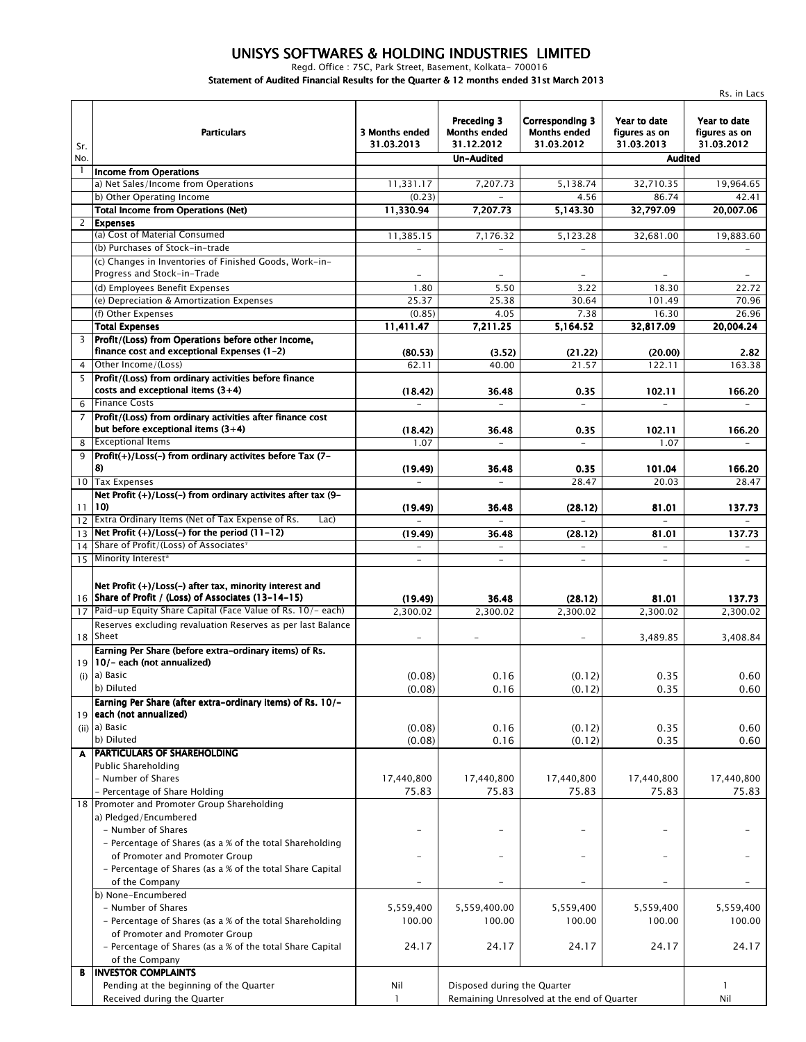## *UNISYS SOFTWARES & HOLDING INDUSTRIES LIMITED*

*Regd. Office : 75C, Park Street, Basement, Kolkata- 700016 Statement of Audited Financial Results for the Quarter & 12 months ended 31st March 2013*

|                 |                                                                                                   |                              |                                                  |                                                             |                                             | Rs. in Lacs                                 |
|-----------------|---------------------------------------------------------------------------------------------------|------------------------------|--------------------------------------------------|-------------------------------------------------------------|---------------------------------------------|---------------------------------------------|
| Sr.             | <b>Particulars</b>                                                                                | 3 Months ended<br>31.03.2013 | Preceding 3<br><b>Months ended</b><br>31.12.2012 | <b>Corresponding 3</b><br><b>Months ended</b><br>31.03.2012 | Year to date<br>figures as on<br>31.03.2013 | Year to date<br>figures as on<br>31.03.2012 |
| No.             |                                                                                                   |                              | Un-Audited                                       |                                                             | <b>Audited</b>                              |                                             |
| -1              | <b>Income from Operations</b>                                                                     |                              |                                                  |                                                             |                                             |                                             |
|                 | a) Net Sales/Income from Operations                                                               | 11,331.17                    | 7.207.73                                         | 5,138.74                                                    | 32,710.35                                   | 19,964.65                                   |
|                 | b) Other Operating Income                                                                         | (0.23)                       | $\overline{\phantom{a}}$                         | 4.56                                                        | 86.74                                       | 42.41                                       |
|                 | <b>Total Income from Operations (Net)</b>                                                         | 11,330.94                    | 7,207.73                                         | 5,143.30                                                    | 32,797.09                                   | 20,007.06                                   |
| 2               | <b>Expenses</b>                                                                                   |                              |                                                  |                                                             |                                             |                                             |
|                 | (a) Cost of Material Consumed                                                                     | 11,385.15                    | 7,176.32                                         | 5,123.28                                                    | 32,681.00                                   | 19,883.60                                   |
|                 | (b) Purchases of Stock-in-trade                                                                   | $\equiv$                     | $\overline{\phantom{a}}$                         | $\overline{\phantom{a}}$                                    |                                             | $\equiv$                                    |
|                 | (c) Changes in Inventories of Finished Goods, Work-in-<br>Progress and Stock-in-Trade             |                              |                                                  |                                                             |                                             |                                             |
|                 | (d) Employees Benefit Expenses                                                                    | 1.80                         | 5.50                                             | 3.22                                                        | 18.30                                       | 22.72                                       |
|                 | (e) Depreciation & Amortization Expenses                                                          | 25.37                        | 25.38                                            | 30.64                                                       | 101.49                                      | 70.96                                       |
|                 | (f) Other Expenses                                                                                | (0.85)                       | 4.05                                             | 7.38                                                        | 16.30                                       | 26.96                                       |
|                 | <b>Total Expenses</b>                                                                             | 11,411.47                    | 7,211.25                                         | 5,164.52                                                    | 32,817.09                                   | 20,004.24                                   |
| 3               | Profit/(Loss) from Operations before other Income,                                                |                              |                                                  |                                                             |                                             |                                             |
|                 | finance cost and exceptional Expenses (1-2)                                                       | (80.53)                      | (3.52)                                           | (21.22)                                                     | (20.00)                                     | 2.82                                        |
| $\overline{4}$  | Other Income/(Loss)                                                                               | 62.11                        | 40.00                                            | 21.57                                                       | 122.11                                      | 163.38                                      |
| 5               | Profit/(Loss) from ordinary activities before finance<br>costs and exceptional items $(3+4)$      | (18.42)                      | 36.48                                            | 0.35                                                        | 102.11                                      | 166.20                                      |
| 6               | <b>Finance Costs</b>                                                                              | $\equiv$                     | $\overline{\phantom{a}}$                         | $\equiv$                                                    | $\equiv$                                    |                                             |
| $\overline{7}$  | Profit/(Loss) from ordinary activities after finance cost<br>but before exceptional items $(3+4)$ | (18.42)                      | 36.48                                            | 0.35                                                        | 102.11                                      | 166.20                                      |
| 8               | <b>Exceptional Items</b>                                                                          | 1.07                         |                                                  |                                                             | 1.07                                        |                                             |
| 9               | Profit(+)/Loss(-) from ordinary activites before Tax (7-<br>8)                                    | (19.49)                      | 36.48                                            | 0.35                                                        | 101.04                                      | 166.20                                      |
| 10 <sup>°</sup> | <b>Tax Expenses</b>                                                                               | $\equiv$                     | $\equiv$                                         | 28.47                                                       | 20.03                                       | 28.47                                       |
| 11              | Net Profit (+)/Loss(-) from ordinary activites after tax (9-<br>10)                               | (19.49)                      | 36.48                                            | (28.12)                                                     | 81.01                                       | 137.73                                      |
| 12              | Extra Ordinary Items (Net of Tax Expense of Rs.<br>Lac)                                           | $\equiv$                     | $\equiv$                                         |                                                             | $\equiv$                                    | $\overline{\phantom{a}}$                    |
|                 | $13$ Net Profit $(+)/$ Loss(-) for the period $(11-12)$                                           | (19.49)                      | 36.48                                            | (28.12)                                                     | 81.01                                       | 137.73                                      |
| 14              | Share of Profit/(Loss) of Associates <sup>*</sup>                                                 |                              |                                                  | $\equiv$                                                    |                                             |                                             |
| 15              | Minority Interest*                                                                                | $\overline{\phantom{a}}$     | $\overline{\phantom{a}}$                         | $\overline{\phantom{a}}$                                    | $\overline{\phantom{a}}$                    | $\overline{\phantom{a}}$                    |
|                 | Net Profit (+)/Loss(-) after tax, minority interest and                                           |                              |                                                  |                                                             |                                             |                                             |
|                 | 16 Share of Profit / (Loss) of Associates (13-14-15)                                              | (19.49)                      | 36.48                                            | (28.12)                                                     | 81.01                                       | 137.73                                      |
| 17              | Paid-up Equity Share Capital (Face Value of Rs. 10/- each)                                        | 2,300.02                     | 2,300.02                                         | 2.300.02                                                    | 2.300.02                                    | 2,300.02                                    |
|                 | Reserves excluding revaluation Reserves as per last Balance                                       |                              |                                                  |                                                             |                                             |                                             |
|                 | 18 Sheet                                                                                          | $\overline{\phantom{a}}$     | $\overline{\phantom{a}}$                         | $\overline{\phantom{a}}$                                    | 3,489.85                                    | 3,408.84                                    |
|                 | Earning Per Share (before extra-ordinary items) of Rs.                                            |                              |                                                  |                                                             |                                             |                                             |
|                 | 19   10/- each (not annualized)                                                                   |                              |                                                  |                                                             |                                             |                                             |
|                 | $(i)$ a) Basic                                                                                    | (0.08)                       | 0.16                                             | (0.12)                                                      | 0.35                                        | 0.60                                        |
|                 | b) Diluted                                                                                        | (0.08)                       | 0.16                                             | (0.12)                                                      | 0.35                                        | 0.60                                        |
|                 | Earning Per Share (after extra-ordinary items) of Rs. 10/-                                        |                              |                                                  |                                                             |                                             |                                             |
|                 | 19 each (not annualized)<br>(ii) a) Basic                                                         |                              |                                                  |                                                             |                                             |                                             |
|                 | b) Diluted                                                                                        | (0.08)                       | 0.16                                             | (0.12)                                                      | 0.35                                        | 0.60                                        |
| A               | <b>PARTICULARS OF SHAREHOLDING</b>                                                                | (0.08)                       | 0.16                                             | (0.12)                                                      | 0.35                                        | 0.60                                        |
|                 | Public Shareholding                                                                               |                              |                                                  |                                                             |                                             |                                             |
|                 | - Number of Shares                                                                                | 17,440,800                   | 17,440,800                                       | 17,440,800                                                  | 17,440,800                                  | 17,440,800                                  |
|                 | - Percentage of Share Holding                                                                     | 75.83                        | 75.83                                            | 75.83                                                       | 75.83                                       | 75.83                                       |
|                 | 18 Promoter and Promoter Group Shareholding                                                       |                              |                                                  |                                                             |                                             |                                             |
|                 | a) Pledged/Encumbered                                                                             |                              |                                                  |                                                             |                                             |                                             |
|                 | - Number of Shares                                                                                | $\overline{\phantom{0}}$     | $\overline{\phantom{m}}$                         |                                                             |                                             |                                             |
|                 | - Percentage of Shares (as a % of the total Shareholding                                          |                              |                                                  |                                                             |                                             |                                             |
|                 | of Promoter and Promoter Group                                                                    |                              | $\overline{\phantom{a}}$                         |                                                             |                                             |                                             |
|                 | - Percentage of Shares (as a % of the total Share Capital                                         |                              |                                                  |                                                             |                                             |                                             |
|                 |                                                                                                   |                              |                                                  | $\equiv$                                                    | $\overline{\phantom{0}}$                    |                                             |
|                 | of the Company                                                                                    | $\equiv$                     | $\overline{\phantom{a}}$                         |                                                             |                                             |                                             |
|                 | b) None-Encumbered                                                                                |                              |                                                  |                                                             |                                             |                                             |
|                 | - Number of Shares                                                                                | 5,559,400                    | 5,559,400.00                                     | 5,559,400                                                   | 5,559,400                                   | 5,559,400                                   |
|                 |                                                                                                   | 100.00                       | 100.00                                           | 100.00                                                      | 100.00                                      | 100.00                                      |
|                 | - Percentage of Shares (as a % of the total Shareholding                                          |                              |                                                  |                                                             |                                             |                                             |
|                 | of Promoter and Promoter Group                                                                    |                              |                                                  |                                                             |                                             |                                             |
|                 | - Percentage of Shares (as a % of the total Share Capital                                         | 24.17                        | 24.17                                            | 24.17                                                       | 24.17                                       | 24.17                                       |
|                 | of the Company                                                                                    |                              |                                                  |                                                             |                                             |                                             |
| В               | <b>INVESTOR COMPLAINTS</b><br>Pending at the beginning of the Quarter                             | Nil                          | Disposed during the Quarter                      |                                                             |                                             | 1                                           |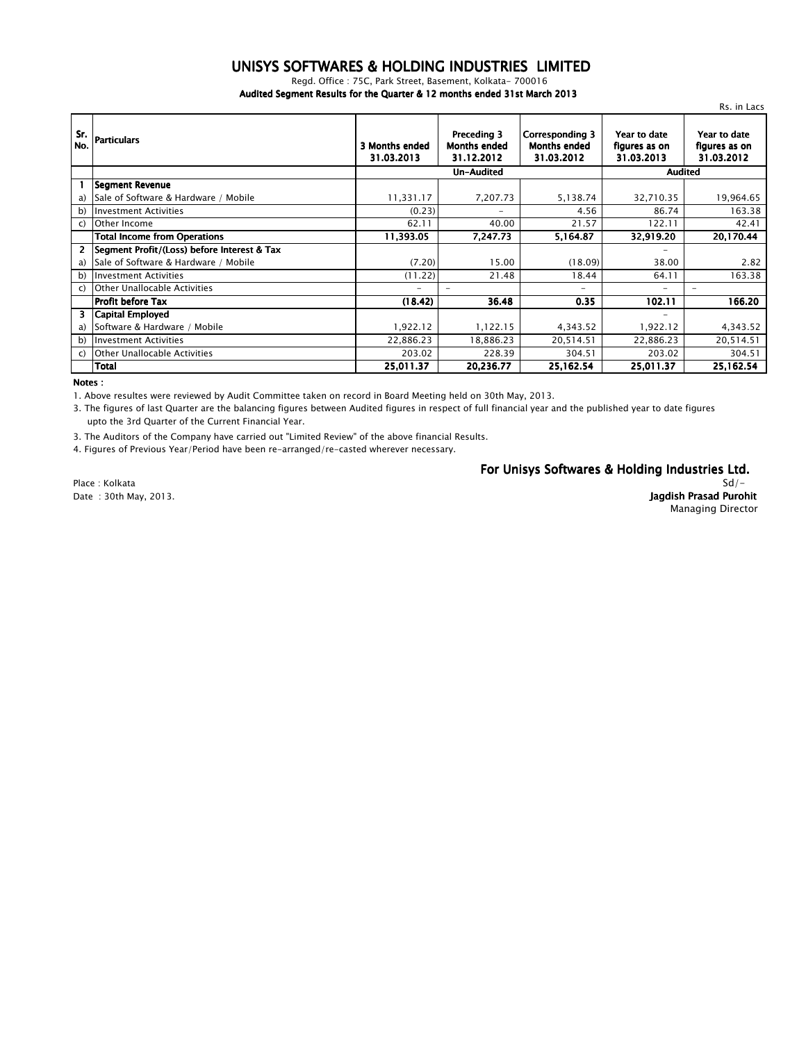#### *UNISYS SOFTWARES & HOLDING INDUSTRIES LIMITED*

*Regd. Office : 75C, Park Street, Basement, Kolkata- 700016*

*Audited Segment Results for the Quarter & 12 months ended 31st March 2013*

|            |                                             |                              |                                                  |                                                             |                                             | Rs. in Lacs                                 |  |
|------------|---------------------------------------------|------------------------------|--------------------------------------------------|-------------------------------------------------------------|---------------------------------------------|---------------------------------------------|--|
| Sr.<br>No. | <b>Particulars</b>                          | 3 Months ended<br>31.03.2013 | Preceding 3<br><b>Months ended</b><br>31.12.2012 | <b>Corresponding 3</b><br><b>Months ended</b><br>31.03.2012 | Year to date<br>figures as on<br>31.03.2013 | Year to date<br>figures as on<br>31.03.2012 |  |
|            |                                             |                              | Un-Audited                                       |                                                             |                                             | <b>Audited</b>                              |  |
|            | Segment Revenue                             |                              |                                                  |                                                             |                                             |                                             |  |
| a)         | Sale of Software & Hardware / Mobile        | 11,331.17                    | 7,207.73                                         | 5,138.74                                                    | 32,710.35                                   | 19,964.65                                   |  |
| b)         | <b>Investment Activities</b>                | (0.23)                       | $\overline{\phantom{a}}$                         | 4.56                                                        | 86.74                                       | 163.38                                      |  |
| C)         | Other Income                                | 62.11                        | 40.00                                            | 21.57                                                       | 122.11                                      | 42.41                                       |  |
|            | <b>Total Income from Operations</b>         | 11,393.05                    | 7,247.73                                         | 5,164.87                                                    | 32,919.20                                   | 20,170.44                                   |  |
| 2          | Segment Profit/(Loss) before Interest & Tax |                              |                                                  |                                                             |                                             |                                             |  |
| a)         | Sale of Software & Hardware / Mobile        | (7.20)                       | 15.00                                            | (18.09)                                                     | 38.00                                       | 2.82                                        |  |
| b)         | <b>Investment Activities</b>                | (11.22)                      | 21.48                                            | 18.44                                                       | 64.11                                       | 163.38                                      |  |
| C)         | <b>Other Unallocable Activities</b>         |                              | $\overline{\phantom{0}}$                         | $\overline{\phantom{a}}$                                    |                                             | $\overline{\phantom{0}}$                    |  |
|            | Profit before Tax                           | (18.42)                      | 36.48                                            | 0.35                                                        | 102.11                                      | 166.20                                      |  |
| 3.         | Capital Employed                            |                              |                                                  |                                                             | $\overline{\phantom{a}}$                    |                                             |  |
| a)         | Software & Hardware / Mobile                | 1,922.12                     | 1,122.15                                         | 4,343.52                                                    | 1,922.12                                    | 4,343.52                                    |  |
| b)         | <b>Investment Activities</b>                | 22,886.23                    | 18,886.23                                        | 20,514.51                                                   | 22,886.23                                   | 20,514.51                                   |  |
| C)         | <b>Other Unallocable Activities</b>         | 203.02                       | 228.39                                           | 304.51                                                      | 203.02                                      | 304.51                                      |  |
|            | <b>Total</b>                                | 25,011.37                    | 20,236.77                                        | 25,162.54                                                   | 25,011.37                                   | 25,162.54                                   |  |

*Notes :*

*1. Above resultes were reviewed by Audit Committee taken on record in Board Meeting held on 30th May, 2013.*

*3. The figures of last Quarter are the balancing figures between Audited figures in respect of full financial year and the published year to date figures upto the 3rd Quarter of the Current Financial Year.*

*3. The Auditors of the Company have carried out "Limited Review" of the above financial Results.*

*4. Figures of Previous Year/Period have been re-arranged/re-casted wherever necessary.*

*For Unisys Softwares & Holding Industries Ltd.*

*Place : Kolkata*

### *Sd/-*

*Date : 30th May, 2013. Jagdish Prasad Purohit Managing Director*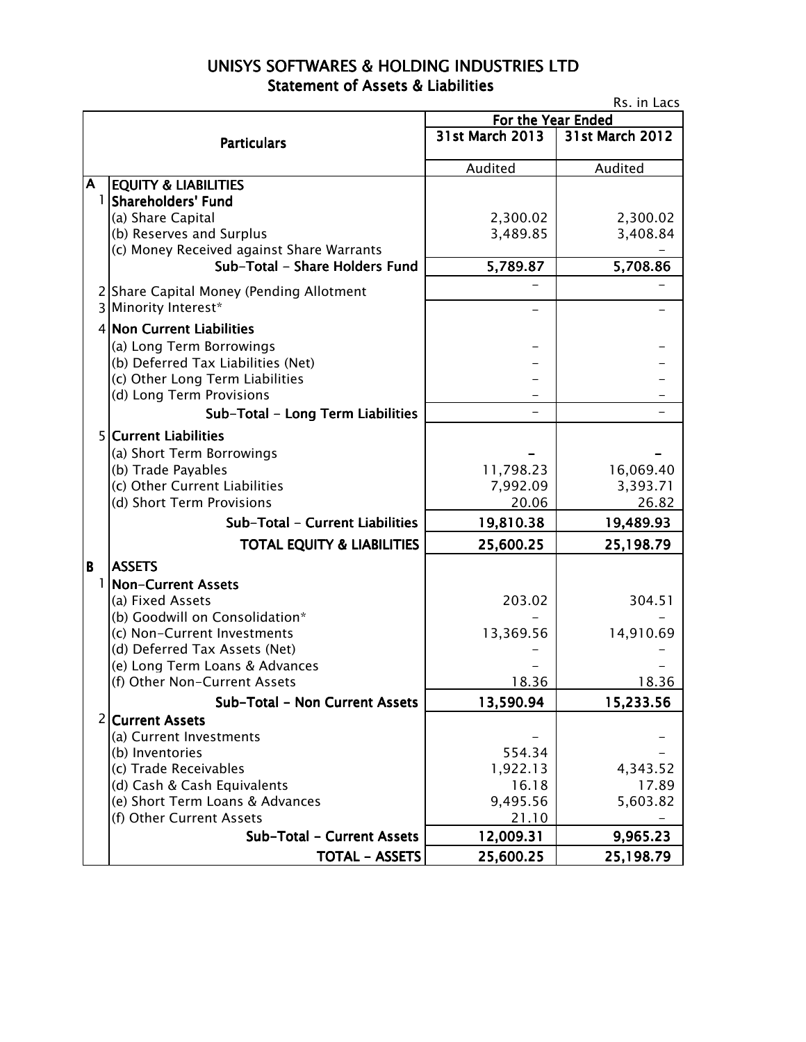## UNISYS SOFTWARES & HOLDING INDUSTRIES LTD Statement of Assets & Liabilities

| Rs. in Lacs |                                                                       |                       |                       |  |  |
|-------------|-----------------------------------------------------------------------|-----------------------|-----------------------|--|--|
|             |                                                                       | For the Year Ended    |                       |  |  |
|             | <b>Particulars</b>                                                    | 31st March 2013       | 31st March 2012       |  |  |
|             |                                                                       | Audited               | Audited               |  |  |
| Α           | <b>EQUITY &amp; LIABILITIES</b>                                       |                       |                       |  |  |
| 1           | Shareholders' Fund                                                    |                       |                       |  |  |
|             | (a) Share Capital                                                     | 2,300.02              | 2,300.02              |  |  |
|             | (b) Reserves and Surplus<br>(c) Money Received against Share Warrants | 3,489.85              | 3,408.84              |  |  |
|             | Sub-Total - Share Holders Fund                                        | 5,789.87              | 5,708.86              |  |  |
|             |                                                                       |                       |                       |  |  |
|             | 2 Share Capital Money (Pending Allotment                              |                       |                       |  |  |
|             | 3 Minority Interest*                                                  |                       |                       |  |  |
|             | 4 Non Current Liabilities                                             |                       |                       |  |  |
|             | (a) Long Term Borrowings                                              |                       |                       |  |  |
|             | (b) Deferred Tax Liabilities (Net)                                    |                       |                       |  |  |
|             | (c) Other Long Term Liabilities                                       |                       |                       |  |  |
|             | (d) Long Term Provisions                                              |                       |                       |  |  |
|             | Sub-Total - Long Term Liabilities                                     |                       |                       |  |  |
|             | 5 Current Liabilities                                                 |                       |                       |  |  |
|             | (a) Short Term Borrowings                                             |                       |                       |  |  |
|             | (b) Trade Payables<br>(c) Other Current Liabilities                   | 11,798.23<br>7,992.09 | 16,069.40<br>3,393.71 |  |  |
|             | (d) Short Term Provisions                                             | 20.06                 | 26.82                 |  |  |
|             | Sub-Total - Current Liabilities                                       | 19,810.38             | 19,489.93             |  |  |
|             |                                                                       |                       |                       |  |  |
|             | <b>TOTAL EQUITY &amp; LIABILITIES</b>                                 | 25,600.25             | 25,198.79             |  |  |
| B           | <b>ASSETS</b>                                                         |                       |                       |  |  |
| 1           | Non-Current Assets<br>(a) Fixed Assets                                | 203.02                | 304.51                |  |  |
|             | (b) Goodwill on Consolidation*                                        |                       |                       |  |  |
|             | (c) Non-Current Investments                                           | 13,369.56             | 14,910.69             |  |  |
|             | (d) Deferred Tax Assets (Net)                                         |                       |                       |  |  |
|             | (e) Long Term Loans & Advances                                        |                       |                       |  |  |
|             | (f) Other Non-Current Assets                                          | 18.36                 | 18.36                 |  |  |
|             | Sub-Total - Non Current Assets                                        | 13,590.94             | 15,233.56             |  |  |
|             | 2 Current Assets                                                      |                       |                       |  |  |
|             | (a) Current Investments                                               |                       |                       |  |  |
|             | (b) Inventories                                                       | 554.34                |                       |  |  |
|             | (c) Trade Receivables                                                 | 1,922.13              | 4,343.52              |  |  |
|             | (d) Cash & Cash Equivalents                                           | 16.18                 | 17.89                 |  |  |
|             | (e) Short Term Loans & Advances<br>(f) Other Current Assets           | 9,495.56<br>21.10     | 5,603.82              |  |  |
|             | Sub-Total - Current Assets                                            | 12,009.31             | 9,965.23              |  |  |
|             | <b>TOTAL - ASSETS</b>                                                 |                       |                       |  |  |
|             |                                                                       | 25,600.25             | 25,198.79             |  |  |